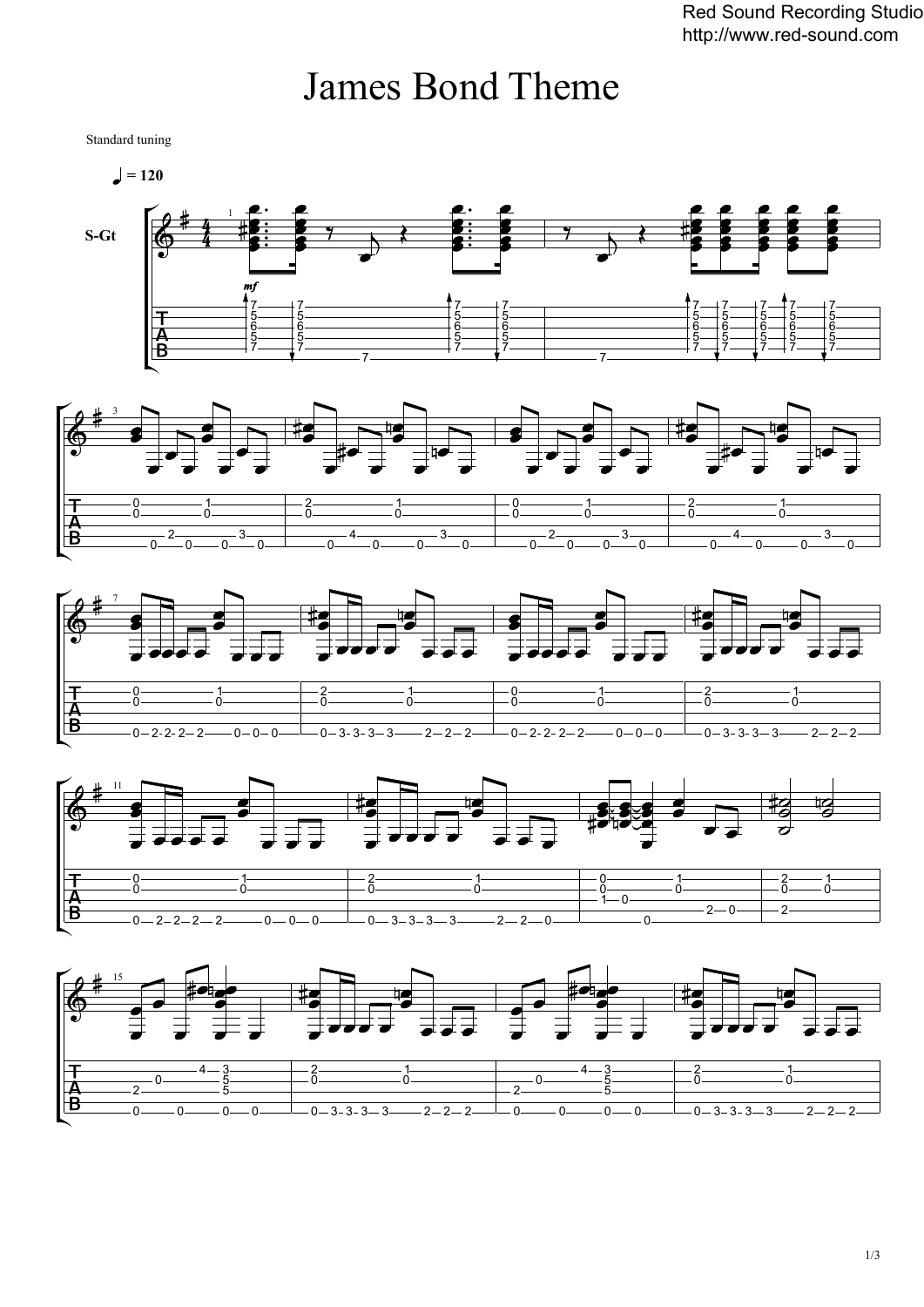## James Bond Theme

Standard tuning

 $= 120$ 









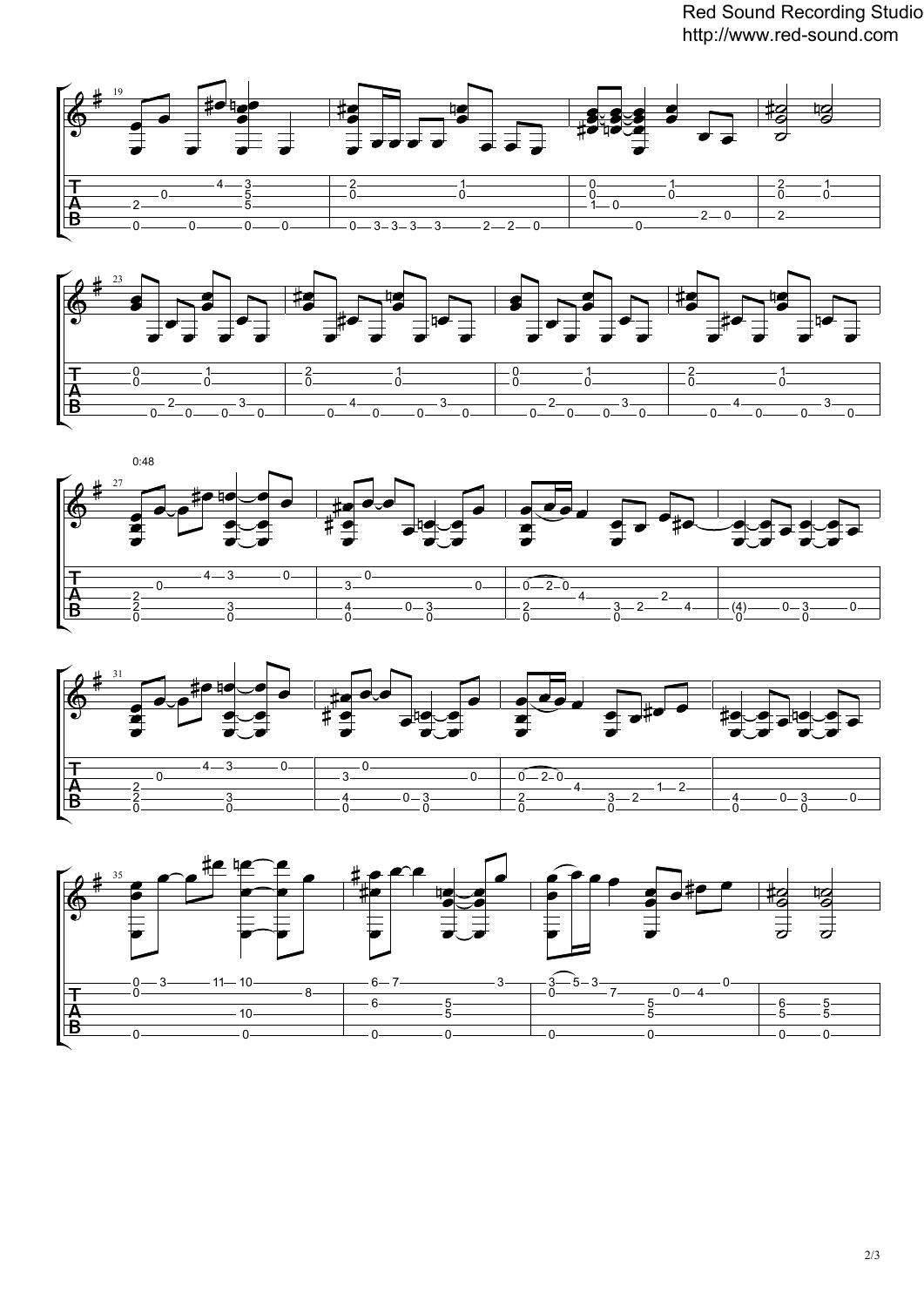Red Sound Recording Studio http://www.red-sound.com